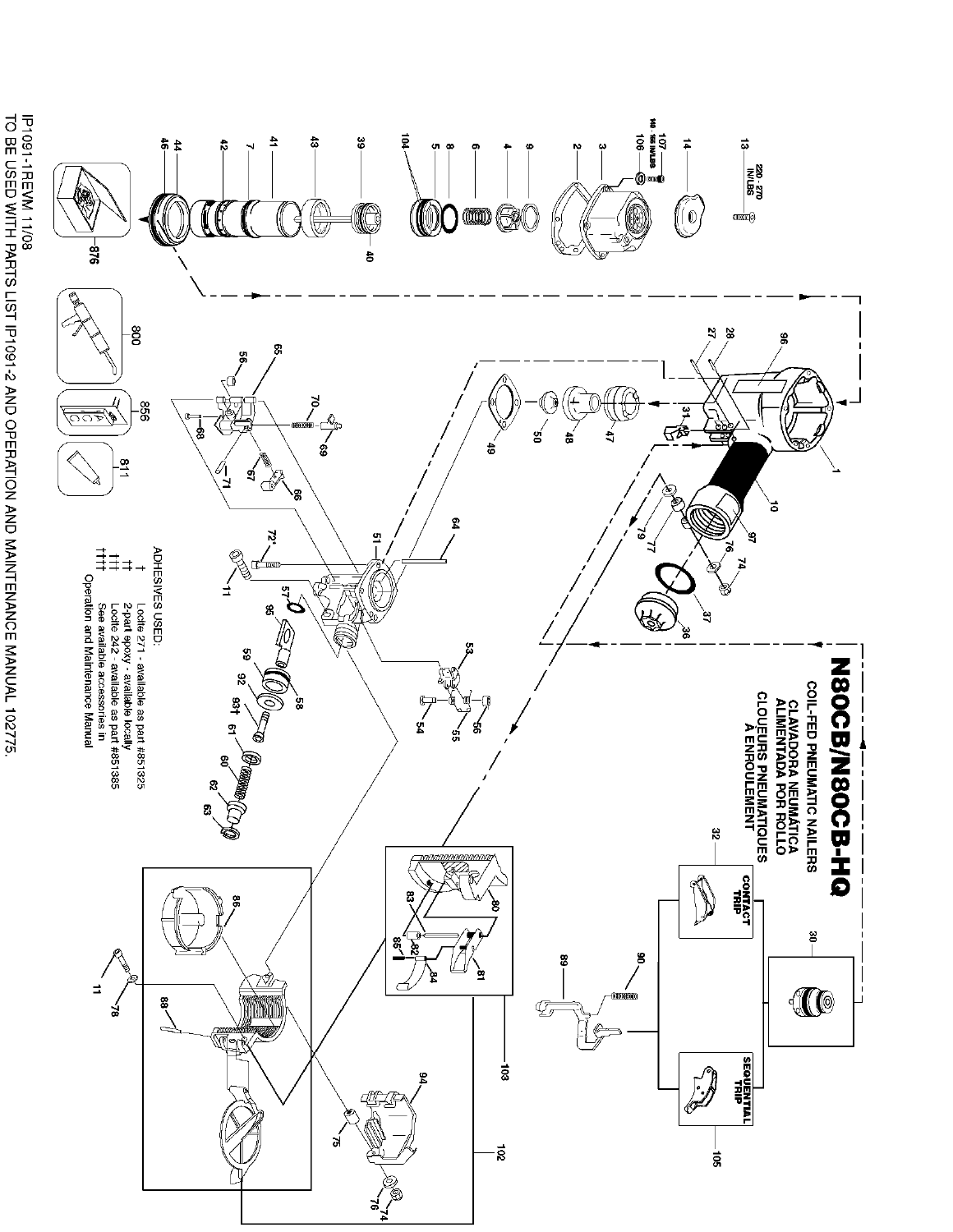

IP1091-1REVM 11/08<br>TO BE USED WITH PARTS LIST IP1091-2 AND OPERATION AND MAINTENANCE MANUAL 102775.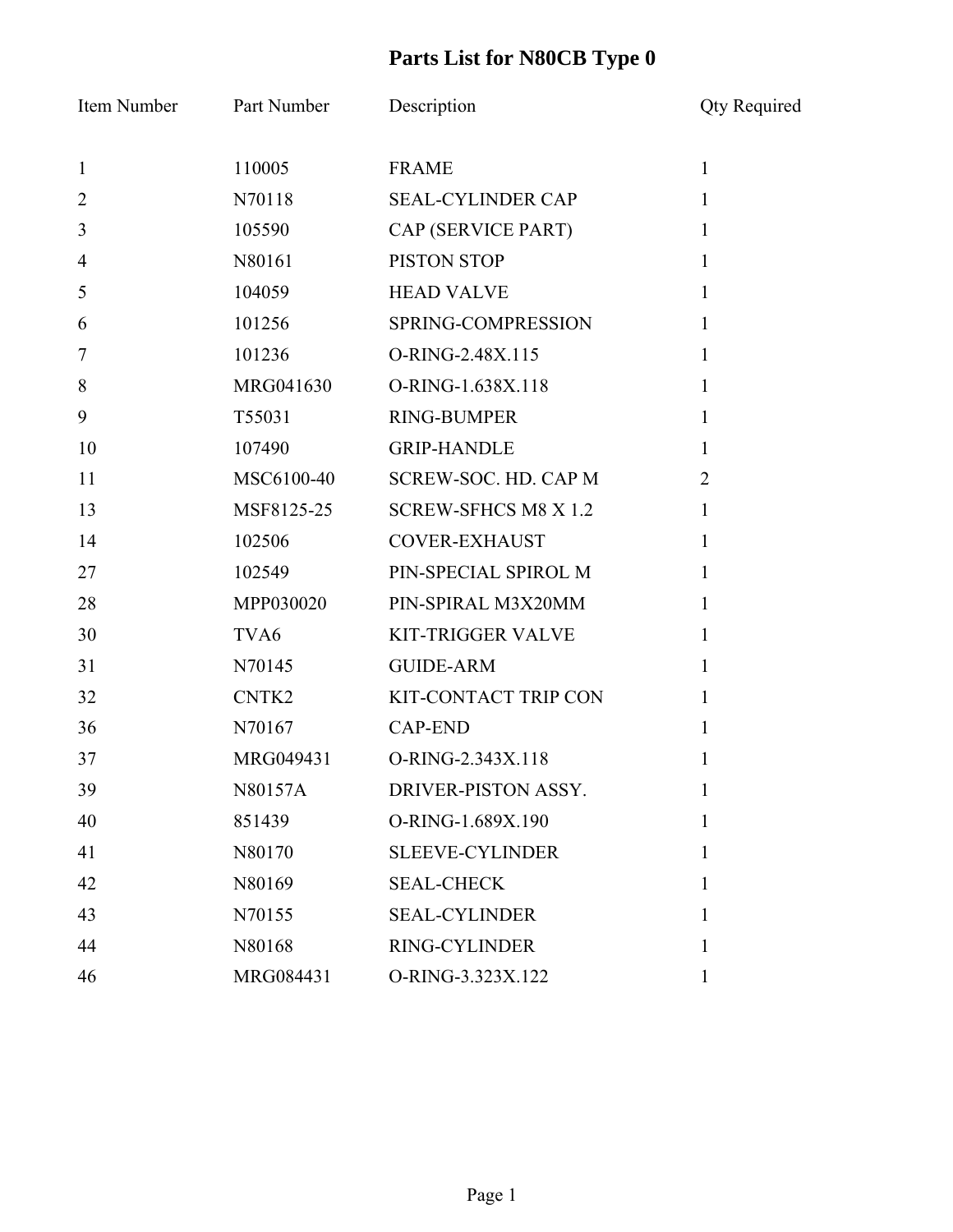| Item Number    | Part Number      | Description                 | <b>Qty Required</b> |
|----------------|------------------|-----------------------------|---------------------|
| $\mathbf{1}$   | 110005           | <b>FRAME</b>                | $\mathbf{1}$        |
| $\overline{2}$ | N70118           | <b>SEAL-CYLINDER CAP</b>    | $\mathbf{1}$        |
| 3              | 105590           | CAP (SERVICE PART)          | $\mathbf{1}$        |
| $\overline{4}$ | N80161           | PISTON STOP                 | $\mathbf{1}$        |
| 5              | 104059           | <b>HEAD VALVE</b>           | $\mathbf{1}$        |
| 6              | 101256           | SPRING-COMPRESSION          | $\mathbf{1}$        |
| 7              | 101236           | O-RING-2.48X.115            | $\mathbf{1}$        |
| 8              | MRG041630        | O-RING-1.638X.118           | $\mathbf{1}$        |
| 9              | T55031           | <b>RING-BUMPER</b>          | $\mathbf{1}$        |
| 10             | 107490           | <b>GRIP-HANDLE</b>          | $\mathbf{1}$        |
| 11             | MSC6100-40       | <b>SCREW-SOC. HD. CAP M</b> | $\overline{2}$      |
| 13             | MSF8125-25       | <b>SCREW-SFHCS M8 X 1.2</b> | $\mathbf{1}$        |
| 14             | 102506           | <b>COVER-EXHAUST</b>        | $\mathbf{1}$        |
| 27             | 102549           | PIN-SPECIAL SPIROL M        | $\mathbf{1}$        |
| 28             | MPP030020        | PIN-SPIRAL M3X20MM          | $\mathbf{1}$        |
| 30             | TVA <sub>6</sub> | <b>KIT-TRIGGER VALVE</b>    | $\mathbf{1}$        |
| 31             | N70145           | <b>GUIDE-ARM</b>            | $\mathbf{1}$        |
| 32             | CNTK2            | KIT-CONTACT TRIP CON        | $\mathbf{1}$        |
| 36             | N70167           | <b>CAP-END</b>              | $\mathbf{1}$        |
| 37             | MRG049431        | O-RING-2.343X.118           | 1                   |
| 39             | N80157A          | DRIVER-PISTON ASSY.         | $\bf{l}$            |
| 40             | 851439           | O-RING-1.689X.190           | 1                   |
| 41             | N80170           | <b>SLEEVE-CYLINDER</b>      | 1                   |
| 42             | N80169           | <b>SEAL-CHECK</b>           | 1                   |
| 43             | N70155           | <b>SEAL-CYLINDER</b>        | 1                   |
| 44             | N80168           | RING-CYLINDER               | 1                   |
| 46             | MRG084431        | O-RING-3.323X.122           | $\mathbf{1}$        |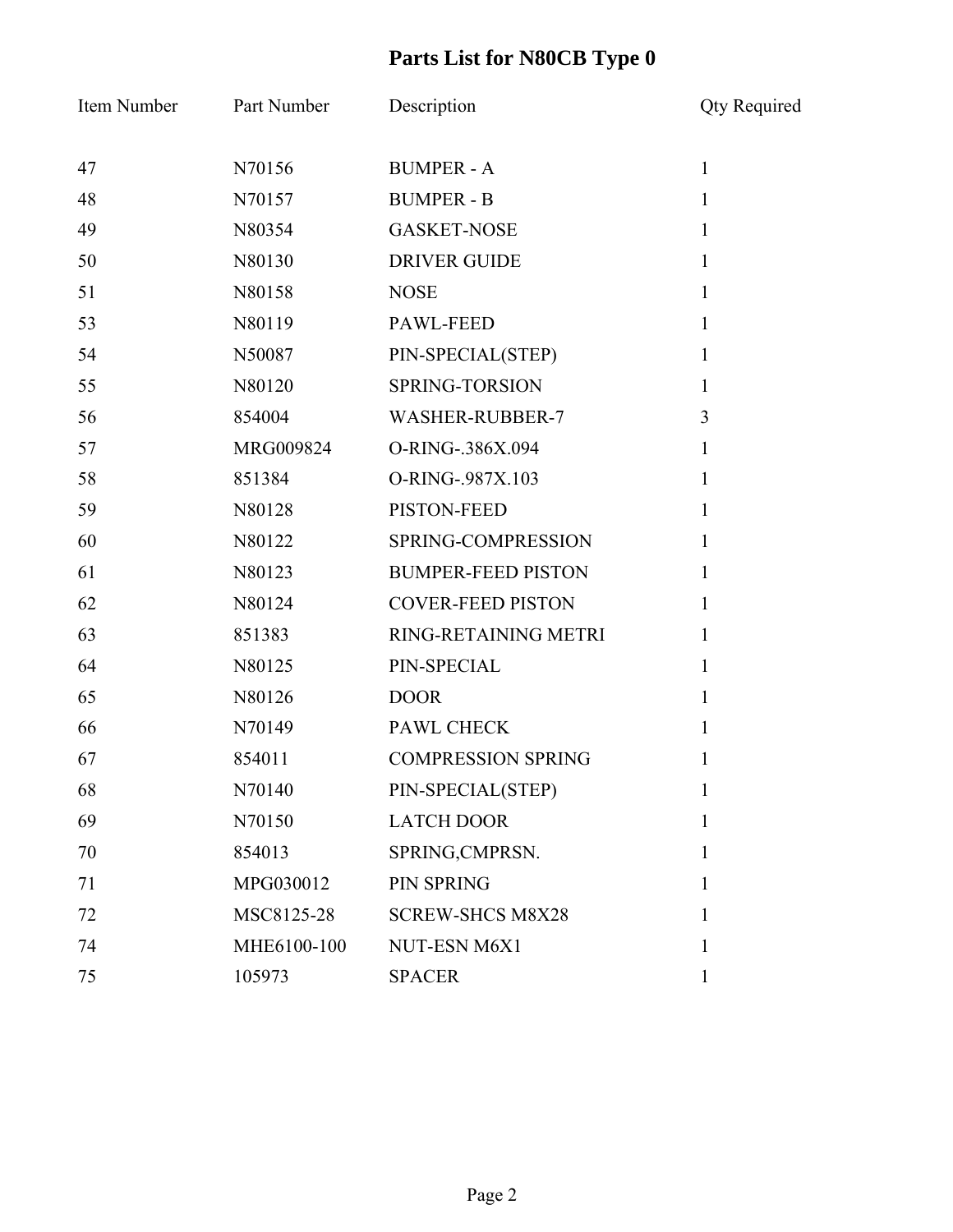| Item Number | Part Number | Description               | <b>Qty Required</b> |
|-------------|-------------|---------------------------|---------------------|
| 47          | N70156      | <b>BUMPER - A</b>         | $\mathbf{1}$        |
| 48          | N70157      | <b>BUMPER - B</b>         | $\mathbf{1}$        |
| 49          | N80354      | <b>GASKET-NOSE</b>        | $\mathbf{1}$        |
| 50          | N80130      | <b>DRIVER GUIDE</b>       | $\mathbf{1}$        |
| 51          | N80158      | <b>NOSE</b>               | $\mathbf{1}$        |
| 53          | N80119      | <b>PAWL-FEED</b>          | $\mathbf{1}$        |
| 54          | N50087      | PIN-SPECIAL(STEP)         | $\mathbf{1}$        |
| 55          | N80120      | SPRING-TORSION            | $\mathbf{1}$        |
| 56          | 854004      | <b>WASHER-RUBBER-7</b>    | 3                   |
| 57          | MRG009824   | O-RING-.386X.094          | $\mathbf{1}$        |
| 58          | 851384      | O-RING-.987X.103          | $\mathbf{1}$        |
| 59          | N80128      | PISTON-FEED               | $\mathbf{1}$        |
| 60          | N80122      | SPRING-COMPRESSION        | $\mathbf{1}$        |
| 61          | N80123      | <b>BUMPER-FEED PISTON</b> | 1                   |
| 62          | N80124      | <b>COVER-FEED PISTON</b>  | $\mathbf{1}$        |
| 63          | 851383      | RING-RETAINING METRI      | $\mathbf{1}$        |
| 64          | N80125      | PIN-SPECIAL               | $\mathbf{1}$        |
| 65          | N80126      | <b>DOOR</b>               | $\mathbf{1}$        |
| 66          | N70149      | <b>PAWL CHECK</b>         | $\mathbf{1}$        |
| 67          | 854011      | <b>COMPRESSION SPRING</b> |                     |
| 68          | N70140      | PIN-SPECIAL(STEP)         | $\mathbf{I}$        |
| 69          | N70150      | <b>LATCH DOOR</b>         | $\mathbf{1}$        |
| 70          | 854013      | SPRING, CMPRSN.           | 1                   |
| 71          | MPG030012   | <b>PIN SPRING</b>         | 1                   |
| 72          | MSC8125-28  | <b>SCREW-SHCS M8X28</b>   | $\mathbf{1}$        |
| 74          | MHE6100-100 | NUT-ESN M6X1              | 1                   |
| 75          | 105973      | <b>SPACER</b>             | $\mathbf{1}$        |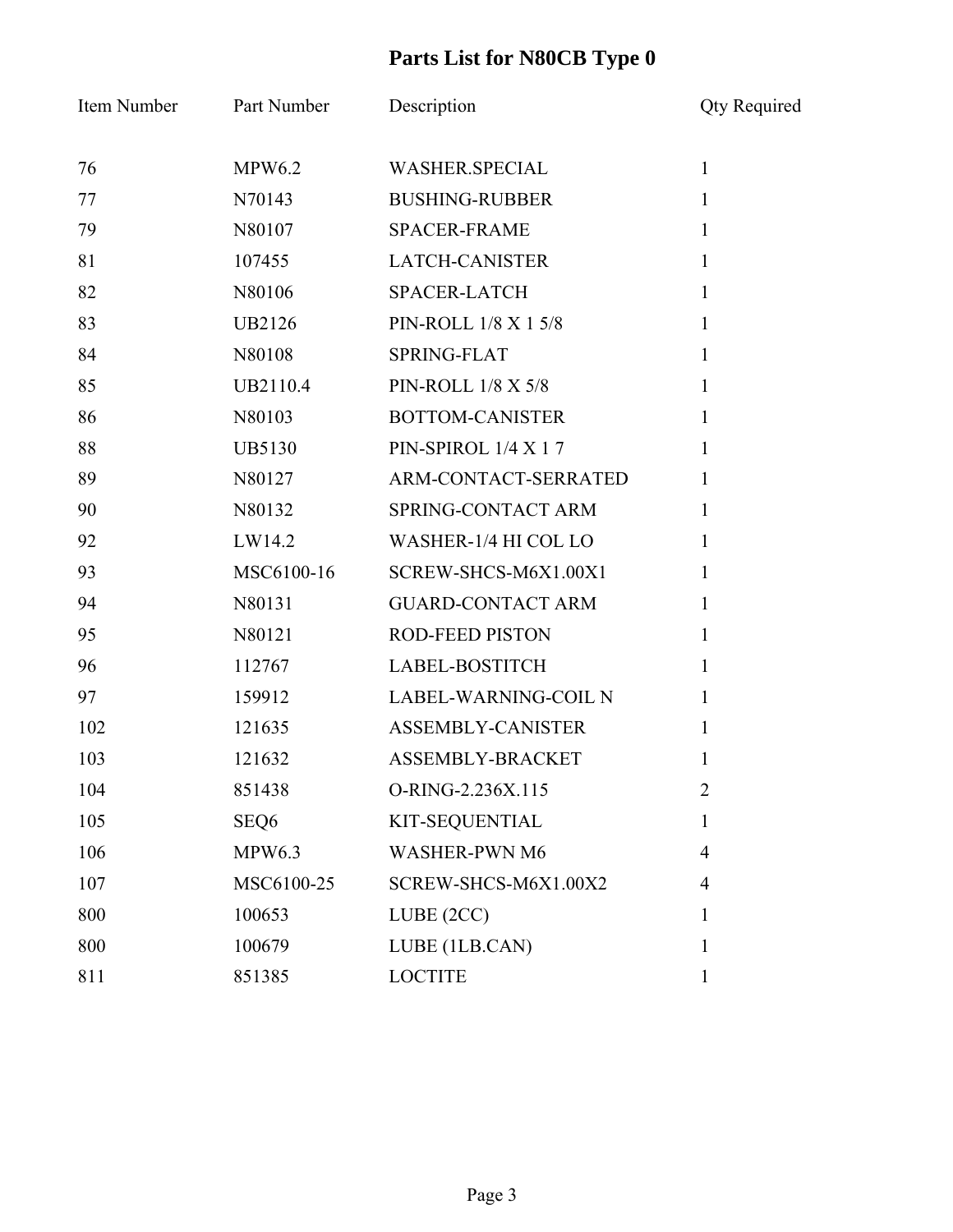| Item Number | Part Number   | Description                 | <b>Qty Required</b> |
|-------------|---------------|-----------------------------|---------------------|
| 76          | <b>MPW6.2</b> | <b>WASHER.SPECIAL</b>       | $\mathbf{1}$        |
| 77          | N70143        | <b>BUSHING-RUBBER</b>       | $\mathbf{1}$        |
| 79          | N80107        | <b>SPACER-FRAME</b>         | 1                   |
| 81          | 107455        | <b>LATCH-CANISTER</b>       | $\mathbf{1}$        |
| 82          | N80106        | <b>SPACER-LATCH</b>         | $\mathbf{1}$        |
| 83          | <b>UB2126</b> | PIN-ROLL 1/8 X 1 5/8        | $\mathbf{1}$        |
| 84          | N80108        | SPRING-FLAT                 | $\mathbf{1}$        |
| 85          | UB2110.4      | <b>PIN-ROLL 1/8 X 5/8</b>   | $\mathbf{1}$        |
| 86          | N80103        | <b>BOTTOM-CANISTER</b>      | $\mathbf{1}$        |
| 88          | <b>UB5130</b> | PIN-SPIROL 1/4 X 17         | $\mathbf{1}$        |
| 89          | N80127        | ARM-CONTACT-SERRATED        | $\mathbf{1}$        |
| 90          | N80132        | SPRING-CONTACT ARM          | 1                   |
| 92          | LW14.2        | WASHER-1/4 HI COL LO        | $\mathbf{1}$        |
| 93          | MSC6100-16    | SCREW-SHCS-M6X1.00X1        | $\mathbf{1}$        |
| 94          | N80131        | <b>GUARD-CONTACT ARM</b>    | 1                   |
| 95          | N80121        | ROD-FEED PISTON             | $\mathbf{1}$        |
| 96          | 112767        | LABEL-BOSTITCH              | $\mathbf{1}$        |
| 97          | 159912        | <b>LABEL-WARNING-COIL N</b> | 1                   |
| 102         | 121635        | ASSEMBLY-CANISTER           | $\mathbf{1}$        |
| 103         | 121632        | ASSEMBLY-BRACKET            | 1                   |
| 104         | 851438        | O-RING-2.236X.115           | ∠                   |
| 105         | SEQ6          | KIT-SEQUENTIAL              | 1                   |
| 106         | <b>MPW6.3</b> | <b>WASHER-PWN M6</b>        | $\overline{4}$      |
| 107         | MSC6100-25    | SCREW-SHCS-M6X1.00X2        | 4                   |
| 800         | 100653        | LUBE (2CC)                  | 1                   |
| 800         | 100679        | LUBE (1LB.CAN)              | 1                   |
| 811         | 851385        | <b>LOCTITE</b>              | 1                   |